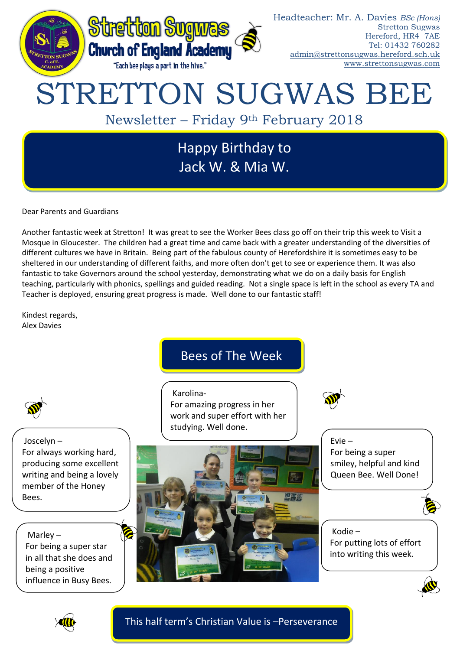

Dear Parents and Guardians

Another fantastic week at Stretton! It was great to see the Worker Bees class go off on their trip this week to Visit a Mosque in Gloucester. The children had a great time and came back with a greater understanding of the diversities of different cultures we have in Britain. Being part of the fabulous county of Herefordshire it is sometimes easy to be sheltered in our understanding of different faiths, and more often don't get to see or experience them. It was also fantastic to take Governors around the school yesterday, demonstrating what we do on a daily basis for English teaching, particularly with phonics, spellings and guided reading. Not a single space is left in the school as every TA and Teacher is deployed, ensuring great progress is made. Well done to our fantastic staff!

Kindest regards, Alex Davies

# Bees of The Week

Karolina-For amazing progress in her work and super effort with her studying. Well done.



四字脚

Evie – For being a super smiley, helpful and kind Queen Bee. Well Done!



Kodie – For putting lots of effort into writing this week.



Joscelyn – For always working hard, producing some excellent writing and being a lovely member of the Honey Bees.

Marley – For being a super star in all that she does and being a positive influence in Busy Bees.